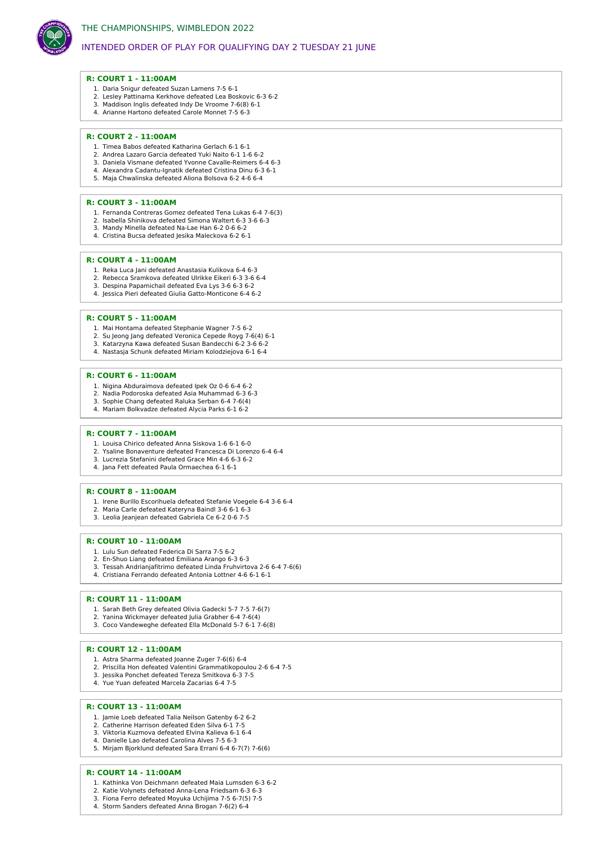

## INTENDED ORDER OF PLAY FOR QUALIFYING DAY 2 TUESDAY 21 JUNE

### **R: COURT 1 - 11:00AM**

- 1. Daria Snigur defeated Suzan Lamens 7-5 6-1
- 2. Lesley Pattinama Kerkhove defeated Lea Boskovic 6-3 6-2
- 3. Maddison Inglis defeated Indy De Vroome 7-6(8) 6-1 4. Arianne Hartono defeated Carole Monnet 7-5 6-3

### **R: COURT 2 - 11:00AM**

- 1. Timea Babos defeated Katharina Gerlach 6-1 6-1
- 2. Andrea Lazaro Garcia defeated Yuki Naito 6-1 1-6 6-2
- 3. Daniela Vismane defeated Yvonne Cavalle-Reimers 6-4 6-3 4. Alexandra Cadantu-Ignatik defeated Cristina Dinu 6-3 6-1
- 5. Maja Chwalinska defeated Aliona Bolsova 6-2 4-6 6-4

### **R: COURT 3 - 11:00AM**

- 1. Fernanda Contreras Gomez defeated Tena Lukas 6-4 7-6(3)
- 2. Isabella Shinikova defeated Simona Waltert 6-3 3-6 6-3
- 3. Mandy Minella defeated Na-Lae Han 6-2 0-6 6-2
- 4. Cristina Bucsa defeated Jesika Maleckova 6-2 6-1

### **R: COURT 4 - 11:00AM**

- 1. Reka Luca Jani defeated Anastasia Kulikova 6-4 6-3
- 2. Rebecca Sramkova defeated Ulrikke Eikeri 6-3 3-6 6-4
- 3. Despina Papamichail defeated Eva Lys 3-6 6-3 6-2 4. Jessica Pieri defeated Giulia Gatto-Monticone 6-4 6-2

#### **R: COURT 5 - 11:00AM**

- 1. Mai Hontama defeated Stephanie Wagner 7-5 6-2
- 2. Su Jeong Jang defeated Veronica Cepede Royg 7-6(4) 6-1
- 3. Katarzyna Kawa defeated Susan Bandecchi 6-2 3-6 6-2 4. Nastasja Schunk defeated Miriam Kolodziejova 6-1 6-4

#### **R: COURT 6 - 11:00AM**

- 1. Nigina Abduraimova defeated Ipek Oz 0-6 6-4 6-2
- 2. Nadia Podoroska defeated Asia Muhammad 6-3 6-3
- 3. Sophie Chang defeated Raluka Serban 6-4 7-6(4) 4. Mariam Bolkvadze defeated Alycia Parks 6-1 6-2

# **R: COURT 7 - 11:00AM**

- 1. Louisa Chirico defeated Anna Siskova 1-6 6-1 6-0
- 2. Ysaline Bonaventure defeated Francesca Di Lorenzo 6-4 6-4
- 3. Lucrezia Stefanini defeated Grace Min 4-6 6-3 6-2
- 4. Jana Fett defeated Paula Ormaechea 6-1 6-1

#### **R: COURT 8 - 11:00AM**

- 1. Irene Burillo Escorihuela defeated Stefanie Voegele 6-4 3-6 6-4
- 2. Maria Carle defeated Kateryna Baindl 3-6 6-1 6-3
- 3. Leolia Jeanjean defeated Gabriela Ce 6-2 0-6 7-5

### **R: COURT 10 - 11:00AM**

- 1. Lulu Sun defeated Federica Di Sarra 7-5 6-2
- 2. En-Shuo Liang defeated Emiliana Arango 6-3 6-3
- 3. Tessah Andrianjafitrimo defeated Linda Fruhvirtova 2-6 6-4 7-6(6)
- 4. Cristiana Ferrando defeated Antonia Lottner 4-6 6-1 6-1

### **R: COURT 11 - 11:00AM**

- 1. Sarah Beth Grey defeated Olivia Gadecki 5-7 7-5 7-6(7)
- 2. Yanina Wickmayer defeated Julia Grabher 6-4 7-6(4)
- 3. Coco Vandeweghe defeated Ella McDonald 5-7 6-1 7-6(8)

#### **R: COURT 12 - 11:00AM**

- 1. Astra Sharma defeated Joanne Zuger 7-6(6) 6-4
- 2. Priscilla Hon defeated Valentini Grammatikopoulou 2-6 6-4 7-5
- 3. Jessika Ponchet defeated Tereza Smitkova 6-3 7-5
- 4. Yue Yuan defeated Marcela Zacarias 6-4 7-5

### **R: COURT 13 - 11:00AM**

- 1. Jamie Loeb defeated Talia Neilson Gatenby 6-2 6-2
- 2. Catherine Harrison defeated Eden Silva 6-1 7-5
- 3. Viktoria Kuzmova defeated Elvina Kalieva 6-1 6-4 4. Danielle Lao defeated Carolina Alves 7-5 6-3
- 5. Mirjam Bjorklund defeated Sara Errani 6-4 6-7(7) 7-6(6)

#### **R: COURT 14 - 11:00AM**

- 1. Kathinka Von Deichmann defeated Maia Lumsden 6-3 6-2
- 2. Katie Volynets defeated Anna-Lena Friedsam 6-3 6-3
- 3. Fiona Ferro defeated Moyuka Uchijima 7-5 6-7(5) 7-5 4. Storm Sanders defeated Anna Brogan 7-6(2) 6-4
-